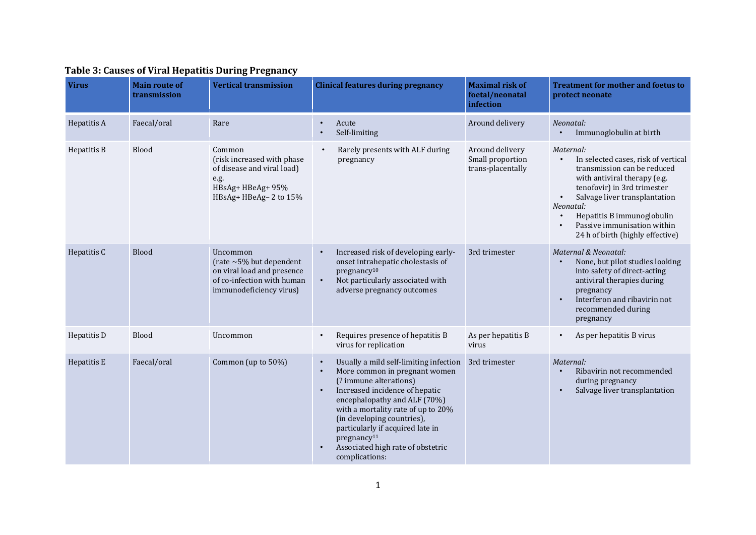| <b>Virus</b> | <b>Main route of</b><br>transmission | <b>Vertical transmission</b>                                                                                                     | <b>Clinical features during pregnancy</b>                                                                                                                                                                                                                                                                                                                                                            | <b>Maximal risk of</b><br>foetal/neonatal<br>infection   | <b>Treatment for mother and foetus to</b><br>protect neonate                                                                                                                                                                                                                                               |
|--------------|--------------------------------------|----------------------------------------------------------------------------------------------------------------------------------|------------------------------------------------------------------------------------------------------------------------------------------------------------------------------------------------------------------------------------------------------------------------------------------------------------------------------------------------------------------------------------------------------|----------------------------------------------------------|------------------------------------------------------------------------------------------------------------------------------------------------------------------------------------------------------------------------------------------------------------------------------------------------------------|
| Hepatitis A  | Faecal/oral                          | Rare                                                                                                                             | Acute<br>$\bullet$<br>Self-limiting                                                                                                                                                                                                                                                                                                                                                                  | Around delivery                                          | Neonatal:<br>Immunoglobulin at birth                                                                                                                                                                                                                                                                       |
| Hepatitis B  | Blood                                | Common<br>(risk increased with phase<br>of disease and viral load)<br>e.g.<br>HBsAg+ HBeAg+ 95%<br>HBsAg+ HBeAg-2 to 15%         | Rarely presents with ALF during<br>pregnancy                                                                                                                                                                                                                                                                                                                                                         | Around delivery<br>Small proportion<br>trans-placentally | Maternal:<br>In selected cases, risk of vertical<br>$\bullet$<br>transmission can be reduced<br>with antiviral therapy (e.g.<br>tenofovir) in 3rd trimester<br>Salvage liver transplantation<br>Neonatal:<br>Hepatitis B immunoglobulin<br>Passive immunisation within<br>24 h of birth (highly effective) |
| Hepatitis C  | <b>Blood</b>                         | Uncommon<br>(rate $\sim$ 5% but dependent<br>on viral load and presence<br>of co-infection with human<br>immunodeficiency virus) | Increased risk of developing early-<br>onset intrahepatic cholestasis of<br>pregnancy <sup>10</sup><br>Not particularly associated with<br>$\bullet$<br>adverse pregnancy outcomes                                                                                                                                                                                                                   | 3rd trimester                                            | Maternal & Neonatal:<br>None, but pilot studies looking<br>into safety of direct-acting<br>antiviral therapies during<br>pregnancy<br>Interferon and ribavirin not<br>recommended during<br>pregnancy                                                                                                      |
| Hepatitis D  | Blood                                | Uncommon                                                                                                                         | Requires presence of hepatitis B<br>virus for replication                                                                                                                                                                                                                                                                                                                                            | As per hepatitis B<br>virus                              | As per hepatitis B virus<br>$\bullet$                                                                                                                                                                                                                                                                      |
| Hepatitis E  | Faecal/oral                          | Common (up to 50%)                                                                                                               | Usually a mild self-limiting infection<br>$\bullet$<br>More common in pregnant women<br>$\bullet$<br>(? immune alterations)<br>Increased incidence of hepatic<br>$\bullet$<br>encephalopathy and ALF (70%)<br>with a mortality rate of up to 20%<br>(in developing countries),<br>particularly if acquired late in<br>pregnancy <sup>11</sup><br>Associated high rate of obstetric<br>complications: | 3rd trimester                                            | Maternal:<br>Ribavirin not recommended<br>during pregnancy<br>Salvage liver transplantation                                                                                                                                                                                                                |

## **Table 3: Causes of Viral Hepatitis During Pregnancy**